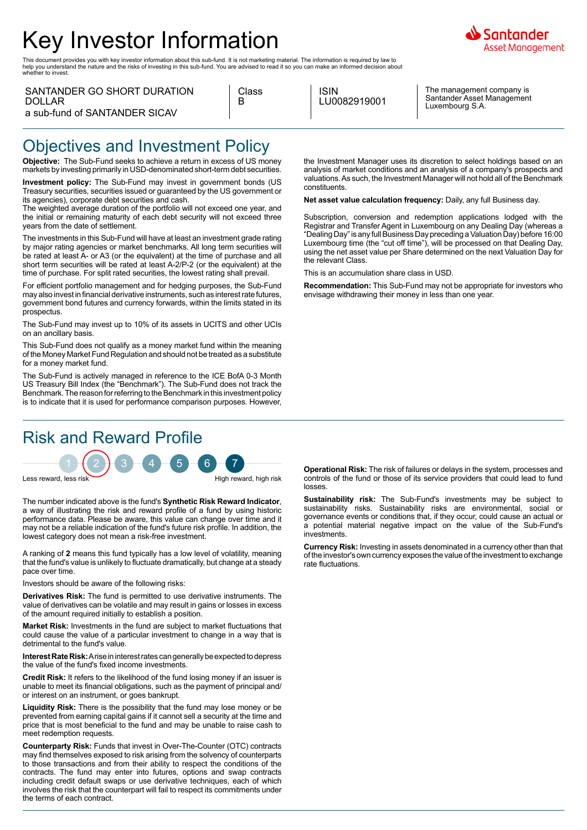# Key Investor Information

This document provides you with key investor information about this sub-fund. It is not marketing material. The information is required by law to<br>help you understand the nature and the risks of investing in this sub-fund.

#### SANTANDER GO SHORT DURATION DOLLAR a sub-fund of SANTANDER SICAV

| ÷. | ms |  |
|----|----|--|
|    |    |  |

ISIN LU0082919001

The management company is Santander Asset Management Luxembourg S.A.

## Objectives and Investment Policy

**Objective:** The Sub-Fund seeks to achieve a return in excess of US money markets by investing primarily in USD-denominated short-term debt securities.

**Investment policy:** The Sub-Fund may invest in government bonds (US Treasury securities, securities issued or guaranteed by the US government or its agencies), corporate debt securities and cash.

The weighted average duration of the portfolio will not exceed one year, and the initial or remaining maturity of each debt security will not exceed three years from the date of settlement.

The investments in this Sub-Fund will have at least an investment grade rating by major rating agencies or market benchmarks. All long term securities will be rated at least A- or A3 (or the equivalent) at the time of purchase and all short term securities will be rated at least A-2/P-2 (or the equivalent) at the time of purchase. For split rated securities, the lowest rating shall prevail.

For efficient portfolio management and for hedging purposes, the Sub-Fund may also invest in financial derivative instruments, such as interest rate futures, government bond futures and currency forwards, within the limits stated in its prospectus.

The Sub-Fund may invest up to 10% of its assets in UCITS and other UCIs on an ancillary basis.

This Sub-Fund does not qualify as a money market fund within the meaning of the Money Market Fund Regulation and should not be treated as a substitute for a money market fund.

The Sub-Fund is actively managed in reference to the ICE BofA 0-3 Month US Treasury Bill Index (the "Benchmark"). The Sub-Fund does not track the Benchmark. The reason for referring to the Benchmark in this investment policy is to indicate that it is used for performance comparison purposes. However,

### Risk and Reward Profile



The number indicated above is the fund's **Synthetic Risk Reward Indicator**, a way of illustrating the risk and reward profile of a fund by using historic performance data. Please be aware, this value can change over time and it may not be a reliable indication of the fund's future risk profile. In addition, the lowest category does not mean a risk-free investment.

A ranking of **2** means this fund typically has a low level of volatility, meaning that the fund's value is unlikely to fluctuate dramatically, but change at a steady pace over time.

Investors should be aware of the following risks:

**Derivatives Risk:** The fund is permitted to use derivative instruments. The value of derivatives can be volatile and may result in gains or losses in excess of the amount required initially to establish a position.

**Market Risk:** Investments in the fund are subject to market fluctuations that could cause the value of a particular investment to change in a way that is detrimental to the fund's value.

**Interest Rate Risk:** A rise in interest rates can generally be expected to depress the value of the fund's fixed income investments.

**Credit Risk:** It refers to the likelihood of the fund losing money if an issuer is unable to meet its financial obligations, such as the payment of principal and/ or interest on an instrument, or goes bankrupt.

**Liquidity Risk:** There is the possibility that the fund may lose money or be prevented from earning capital gains if it cannot sell a security at the time and price that is most beneficial to the fund and may be unable to raise cash to meet redemption requests.

**Counterparty Risk:** Funds that invest in Over-The-Counter (OTC) contracts may find themselves exposed to risk arising from the solvency of counterparts to those transactions and from their ability to respect the conditions of the contracts. The fund may enter into futures, options and swap contracts including credit default swaps or use derivative techniques, each of which involves the risk that the counterpart will fail to respect its commitments under the terms of each contract.

the Investment Manager uses its discretion to select holdings based on an analysis of market conditions and an analysis of a company's prospects and valuations. As such, the Investment Manager will not hold all of the Benchmark constituents.

**Net asset value calculation frequency:** Daily, any full Business day.

Subscription, conversion and redemption applications lodged with the Registrar and Transfer Agent in Luxembourg on any Dealing Day (whereas a "Dealing Day" is any full Business Day preceding a Valuation Day) before 16:00 Luxembourg time (the "cut off time"), will be processed on that Dealing Day, using the net asset value per Share determined on the next Valuation Day for the relevant Class.

This is an accumulation share class in USD.

**Recommendation:** This Sub-Fund may not be appropriate for investors who envisage withdrawing their money in less than one year.

**Operational Risk:** The risk of failures or delays in the system, processes and controls of the fund or those of its service providers that could lead to fund losses.

**Sustainability risk:** The Sub-Fund's investments may be subject to sustainability risks. Sustainability risks are environmental, social or governance events or conditions that, if they occur, could cause an actual or a potential material negative impact on the value of the Sub-Fund's investments.

**Currency Risk:** Investing in assets denominated in a currency other than that of the investor's own currency exposes the value of the investment to exchange rate fluctuations.